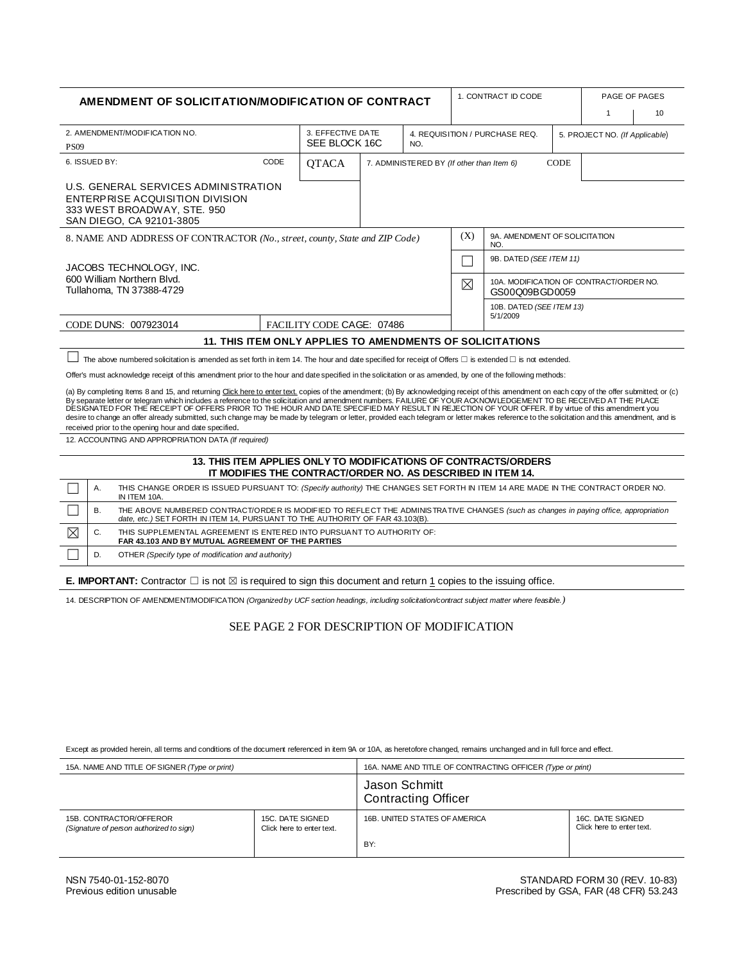| AMENDMENT OF SOLICITATION/MODIFICATION OF CONTRACT                                                                                                                                                                                                                                                                                                                                                                                                                                                                                                                                                                                                                                                                                                                                |                                                                                                                                                                                                                                    |      |                                                                                        |                                                          |                                | 1. CONTRACT ID CODE                                       |                                                                 | PAGE OF PAGES                  |              |    |
|-----------------------------------------------------------------------------------------------------------------------------------------------------------------------------------------------------------------------------------------------------------------------------------------------------------------------------------------------------------------------------------------------------------------------------------------------------------------------------------------------------------------------------------------------------------------------------------------------------------------------------------------------------------------------------------------------------------------------------------------------------------------------------------|------------------------------------------------------------------------------------------------------------------------------------------------------------------------------------------------------------------------------------|------|----------------------------------------------------------------------------------------|----------------------------------------------------------|--------------------------------|-----------------------------------------------------------|-----------------------------------------------------------------|--------------------------------|--------------|----|
|                                                                                                                                                                                                                                                                                                                                                                                                                                                                                                                                                                                                                                                                                                                                                                                   |                                                                                                                                                                                                                                    |      |                                                                                        |                                                          |                                |                                                           |                                                                 |                                | $\mathbf{1}$ | 10 |
| 2. AMENDMENT/MODIFICATION NO.                                                                                                                                                                                                                                                                                                                                                                                                                                                                                                                                                                                                                                                                                                                                                     |                                                                                                                                                                                                                                    |      | 3. EFFECTIVE DATE                                                                      |                                                          | 4. REQUISITION / PURCHASE REQ. |                                                           |                                                                 | 5. PROJECT NO. (If Applicable) |              |    |
| <b>PS09</b>                                                                                                                                                                                                                                                                                                                                                                                                                                                                                                                                                                                                                                                                                                                                                                       |                                                                                                                                                                                                                                    |      | SEE BLOCK 16C<br>NO.                                                                   |                                                          |                                |                                                           |                                                                 |                                |              |    |
|                                                                                                                                                                                                                                                                                                                                                                                                                                                                                                                                                                                                                                                                                                                                                                                   | 6. ISSUED BY:                                                                                                                                                                                                                      | CODE | <b>QTACA</b>                                                                           | 7. ADMINISTERED BY (If other than Item 6)<br><b>CODE</b> |                                |                                                           |                                                                 |                                |              |    |
|                                                                                                                                                                                                                                                                                                                                                                                                                                                                                                                                                                                                                                                                                                                                                                                   | U.S. GENERAL SERVICES ADMINISTRATION<br>ENTERPRISE ACQUISITION DIVISION<br>333 WEST BROADWAY, STE. 950<br>SAN DIEGO, CA 92101-3805                                                                                                 |      |                                                                                        |                                                          |                                |                                                           |                                                                 |                                |              |    |
| 8. NAME AND ADDRESS OF CONTRACTOR (No., street, county, State and ZIP Code)                                                                                                                                                                                                                                                                                                                                                                                                                                                                                                                                                                                                                                                                                                       |                                                                                                                                                                                                                                    |      |                                                                                        |                                                          |                                | (X)                                                       | 9A. AMENDMENT OF SOLICITATION<br>NO.                            |                                |              |    |
| 9B. DATED (SEE ITEM 11)<br>JACOBS TECHNOLOGY, INC.                                                                                                                                                                                                                                                                                                                                                                                                                                                                                                                                                                                                                                                                                                                                |                                                                                                                                                                                                                                    |      |                                                                                        |                                                          |                                |                                                           |                                                                 |                                |              |    |
| 600 William Northern Blvd.<br>Tullahoma, TN 37388-4729                                                                                                                                                                                                                                                                                                                                                                                                                                                                                                                                                                                                                                                                                                                            |                                                                                                                                                                                                                                    |      |                                                                                        |                                                          | ⊠                              | 10A. MODIFICATION OF CONTRACT/ORDER NO.<br>GS00Q09BGD0059 |                                                                 |                                |              |    |
|                                                                                                                                                                                                                                                                                                                                                                                                                                                                                                                                                                                                                                                                                                                                                                                   |                                                                                                                                                                                                                                    |      |                                                                                        |                                                          |                                |                                                           | 10B. DATED (SEE ITEM 13)<br>5/1/2009                            |                                |              |    |
|                                                                                                                                                                                                                                                                                                                                                                                                                                                                                                                                                                                                                                                                                                                                                                                   | CODE DUNS: 007923014                                                                                                                                                                                                               |      | FACILITY CODE CAGE: 07486<br>11. THIS ITEM ONLY APPLIES TO AMENDMENTS OF SOLICITATIONS |                                                          |                                |                                                           |                                                                 |                                |              |    |
|                                                                                                                                                                                                                                                                                                                                                                                                                                                                                                                                                                                                                                                                                                                                                                                   |                                                                                                                                                                                                                                    |      |                                                                                        |                                                          |                                |                                                           |                                                                 |                                |              |    |
|                                                                                                                                                                                                                                                                                                                                                                                                                                                                                                                                                                                                                                                                                                                                                                                   | The above numbered solicitation is amended as set forth in item 14. The hour and date specified for receipt of Offers $\Box$ is extended $\Box$ is not extended.                                                                   |      |                                                                                        |                                                          |                                |                                                           |                                                                 |                                |              |    |
| Offer's must acknowledge receipt of this amendment prior to the hour and date specified in the solicitation or as amended, by one of the following methods:                                                                                                                                                                                                                                                                                                                                                                                                                                                                                                                                                                                                                       |                                                                                                                                                                                                                                    |      |                                                                                        |                                                          |                                |                                                           |                                                                 |                                |              |    |
| (a) By completing Items 8 and 15, and returning Click here to enter text. copies of the amendment; (b) By acknowledging receipt of this amendment on each copy of the offer submitted; or (c)<br>By separate letter or telegram which includes a reference to the solicitation and amendment numbers. FAILURE OF YOUR ACKNOWLEDGEMENT TO BE RECEIVED AT THE PLACE<br>DESIGNATED FOR THE RECEIPT OF OFFERS PRIOR TO THE HOUR AND DATE SPECIFIED MAY RESULT IN REJECTION OF YOUR OFFER. If by virtue of this amendment you<br>desire to change an offer already submitted, such change may be made by telegram or letter, provided each telegram or letter makes reference to the solicitation and this amendment, and is<br>received prior to the opening hour and date specified. |                                                                                                                                                                                                                                    |      |                                                                                        |                                                          |                                |                                                           |                                                                 |                                |              |    |
| 12. ACCOUNTING AND APPROPRIATION DATA (If required)                                                                                                                                                                                                                                                                                                                                                                                                                                                                                                                                                                                                                                                                                                                               |                                                                                                                                                                                                                                    |      |                                                                                        |                                                          |                                |                                                           |                                                                 |                                |              |    |
|                                                                                                                                                                                                                                                                                                                                                                                                                                                                                                                                                                                                                                                                                                                                                                                   |                                                                                                                                                                                                                                    |      |                                                                                        |                                                          |                                |                                                           | 13. THIS ITEM APPLIES ONLY TO MODIFICATIONS OF CONTRACTS/ORDERS |                                |              |    |
|                                                                                                                                                                                                                                                                                                                                                                                                                                                                                                                                                                                                                                                                                                                                                                                   |                                                                                                                                                                                                                                    |      | IT MODIFIES THE CONTRACT/ORDER NO. AS DESCRIBED IN ITEM 14.                            |                                                          |                                |                                                           |                                                                 |                                |              |    |
|                                                                                                                                                                                                                                                                                                                                                                                                                                                                                                                                                                                                                                                                                                                                                                                   | Α.<br>THIS CHANGE ORDER IS ISSUED PURSUANT TO: (Specify authority) THE CHANGES SET FORTH IN ITEM 14 ARE MADE IN THE CONTRACT ORDER NO.<br>IN ITEM 10A.                                                                             |      |                                                                                        |                                                          |                                |                                                           |                                                                 |                                |              |    |
|                                                                                                                                                                                                                                                                                                                                                                                                                                                                                                                                                                                                                                                                                                                                                                                   | <b>B.</b><br>THE ABOVE NUMBERED CONTRACT/ORDER IS MODIFIED TO REFLECT THE ADMINISTRATIVE CHANGES (such as changes in paying office, appropriation<br>date, etc.) SET FORTH IN ITEM 14, PURSUANT TO THE AUTHORITY OF FAR 43.103(B). |      |                                                                                        |                                                          |                                |                                                           |                                                                 |                                |              |    |
| $\boxtimes$                                                                                                                                                                                                                                                                                                                                                                                                                                                                                                                                                                                                                                                                                                                                                                       | C.<br>THIS SUPPLEMENTAL AGREEMENT IS ENTERED INTO PURSUANT TO AUTHORITY OF:<br>FAR 43.103 AND BY MUTUAL AGREEMENT OF THE PARTIES                                                                                                   |      |                                                                                        |                                                          |                                |                                                           |                                                                 |                                |              |    |
|                                                                                                                                                                                                                                                                                                                                                                                                                                                                                                                                                                                                                                                                                                                                                                                   | D.<br>OTHER (Specify type of modification and authority)                                                                                                                                                                           |      |                                                                                        |                                                          |                                |                                                           |                                                                 |                                |              |    |
| <b>E. IMPORTANT:</b> Contractor $\Box$ is not $\boxtimes$ is required to sign this document and return 1 copies to the issuing office.                                                                                                                                                                                                                                                                                                                                                                                                                                                                                                                                                                                                                                            |                                                                                                                                                                                                                                    |      |                                                                                        |                                                          |                                |                                                           |                                                                 |                                |              |    |
| 14. DESCRIPTION OF AMENDMENT/MODIFICATION (Organized by UCF section headings, including solicitation/contract subject matter where feasible.)                                                                                                                                                                                                                                                                                                                                                                                                                                                                                                                                                                                                                                     |                                                                                                                                                                                                                                    |      |                                                                                        |                                                          |                                |                                                           |                                                                 |                                |              |    |
|                                                                                                                                                                                                                                                                                                                                                                                                                                                                                                                                                                                                                                                                                                                                                                                   |                                                                                                                                                                                                                                    |      |                                                                                        |                                                          |                                |                                                           |                                                                 |                                |              |    |
| SEE PAGE 2 FOR DESCRIPTION OF MODIFICATION                                                                                                                                                                                                                                                                                                                                                                                                                                                                                                                                                                                                                                                                                                                                        |                                                                                                                                                                                                                                    |      |                                                                                        |                                                          |                                |                                                           |                                                                 |                                |              |    |

#### Except as provided herein, all terms and conditions of the document referenced in item 9A or 10A, as heretofore changed, remains unchanged and in full force and effect.

| 15A. NAME AND TITLE OF SIGNER (Type or print)                       |                                               | 16A. NAME AND TITLE OF CONTRACTING OFFICER (Type or print) |                                               |  |  |
|---------------------------------------------------------------------|-----------------------------------------------|------------------------------------------------------------|-----------------------------------------------|--|--|
|                                                                     |                                               | Jason Schmitt<br><b>Contracting Officer</b>                |                                               |  |  |
| 15B. CONTRACTOR/OFFEROR<br>(Signature of person authorized to sign) | 15C. DATE SIGNED<br>Click here to enter text. | 16B. UNITED STATES OF AMERICA<br>BY:                       | 16C. DATE SIGNED<br>Click here to enter text. |  |  |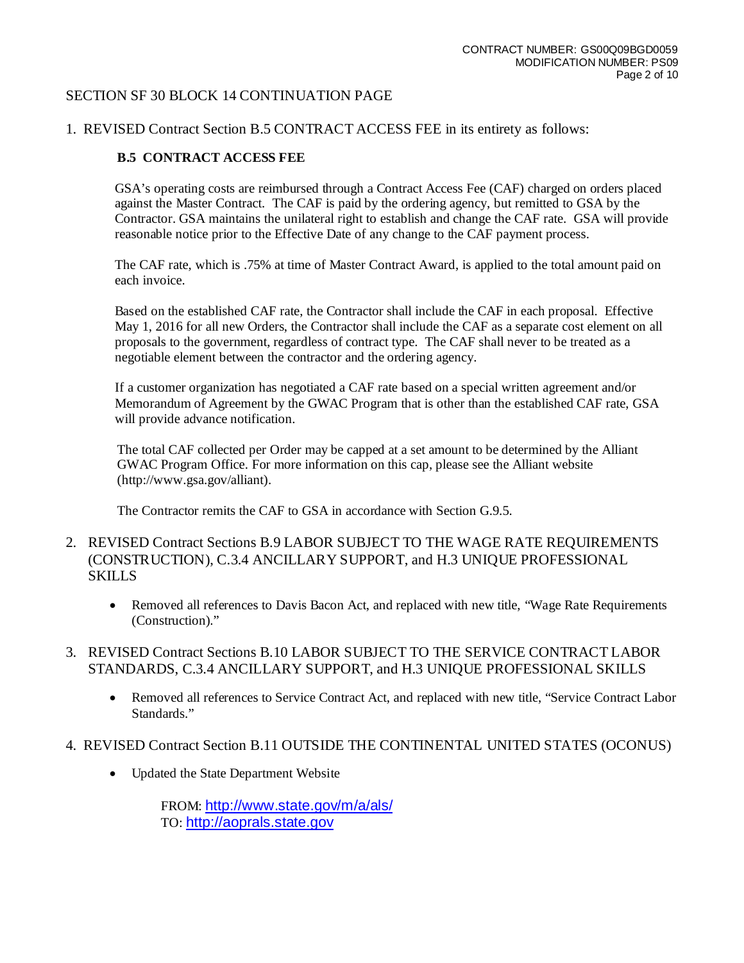#### SECTION SF 30 BLOCK 14 CONTINUATION PAGE

#### 1. REVISED Contract Section B.5 CONTRACT ACCESS FEE in its entirety as follows:

#### **B.5 CONTRACT ACCESS FEE**

GSA's operating costs are reimbursed through a Contract Access Fee (CAF) charged on orders placed against the Master Contract. The CAF is paid by the ordering agency, but remitted to GSA by the Contractor. GSA maintains the unilateral right to establish and change the CAF rate. GSA will provide reasonable notice prior to the Effective Date of any change to the CAF payment process.

The CAF rate, which is .75% at time of Master Contract Award, is applied to the total amount paid on each invoice.

Based on the established CAF rate, the Contractor shall include the CAF in each proposal. Effective May 1, 2016 for all new Orders, the Contractor shall include the CAF as a separate cost element on all proposals to the government, regardless of contract type. The CAF shall never to be treated as a negotiable element between the contractor and the ordering agency.

If a customer organization has negotiated a CAF rate based on a special written agreement and/or Memorandum of Agreement by the GWAC Program that is other than the established CAF rate, GSA will provide advance notification.

The total CAF collected per Order may be capped at a set amount to be determined by the Alliant GWAC Program Office. For more information on this cap, please see the Alliant website (http://www.gsa.gov/alliant).

The Contractor remits the CAF to GSA in accordance with Section G.9.5.

- 2. REVISED Contract Sections B.9 LABOR SUBJECT TO THE WAGE RATE REQUIREMENTS (CONSTRUCTION), C.3.4 ANCILLARY SUPPORT, and H.3 UNIQUE PROFESSIONAL SKILLS
	- Removed all references to Davis Bacon Act, and replaced with new title, "Wage Rate Requirements" (Construction)."
- 3. REVISED Contract Sections B.10 LABOR SUBJECT TO THE SERVICE CONTRACT LABOR STANDARDS, C.3.4 ANCILLARY SUPPORT, and H.3 UNIQUE PROFESSIONAL SKILLS
	- Removed all references to Service Contract Act, and replaced with new title, "Service Contract Labor" Standards."
- 4. REVISED Contract Section B.11 OUTSIDE THE CONTINENTAL UNITED STATES (OCONUS)
	- Updated the State Department Website

FROM: <http://www.state.gov/m/a/als/> TO: [http://aoprals.state.gov](http://aoprals.state.gov/)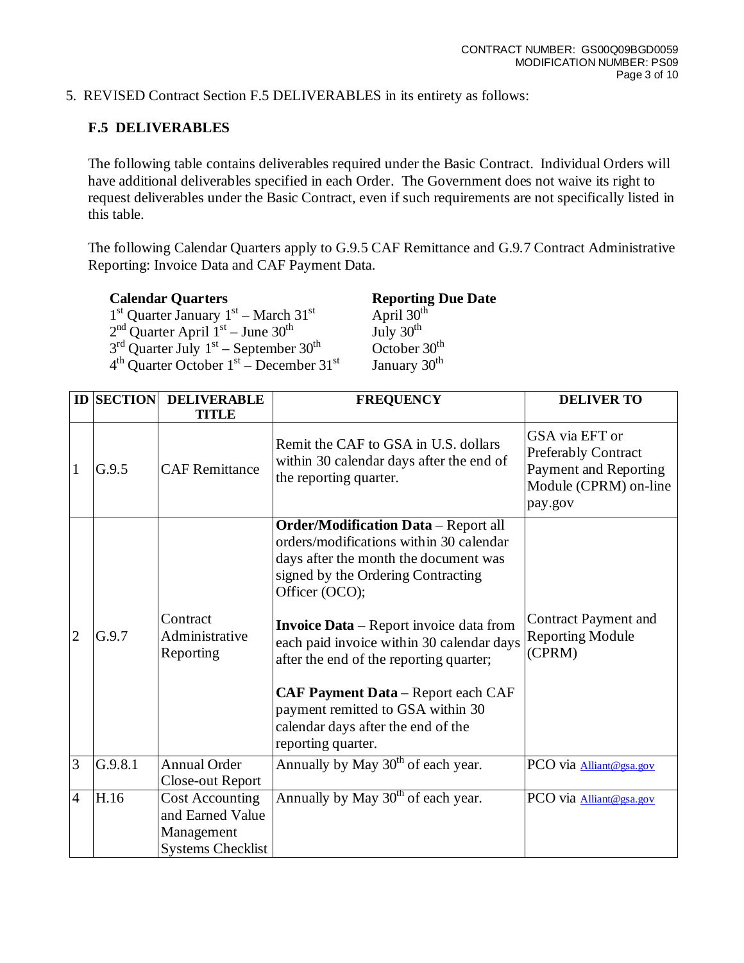5. REVISED Contract Section F.5 DELIVERABLES in its entirety as follows:

# **F.5 DELIVERABLES**

The following table contains deliverables required under the Basic Contract. Individual Orders will have additional deliverables specified in each Order. The Government does not waive its right to request deliverables under the Basic Contract, even if such requirements are not specifically listed in this table.

The following Calendar Quarters apply to G.9.5 CAF Remittance and G.9.7 Contract Administrative Reporting: Invoice Data and CAF Payment Data.

**Reporting Due Date**<br>April  $30^{\text{th}}$  $1<sup>st</sup>$  Quarter January  $1<sup>st</sup>$  – March  $31<sup>st</sup>$  April  $30<sup>th</sup>$  $2<sup>nd</sup>$  Quarter April  $1<sup>st</sup>$  – June 30<sup>th</sup> July 30<sup>th</sup>  $3<sup>rd</sup>$  Quarter July  $1<sup>st</sup>$  – September  $30<sup>th</sup>$  October  $30<sup>th</sup>$  $4<sup>th</sup>$  Quarter October 1<sup>st</sup> – December 31<sup>st</sup> January 30<sup>th</sup>

|                | <b>ID SECTION</b> | <b>DELIVERABLE</b>                                                                   | <b>FREQUENCY</b>                                                                                                                                                                                                                                                                                                                                                                                                                                                                | <b>DELIVER TO</b>                                                                                         |  |
|----------------|-------------------|--------------------------------------------------------------------------------------|---------------------------------------------------------------------------------------------------------------------------------------------------------------------------------------------------------------------------------------------------------------------------------------------------------------------------------------------------------------------------------------------------------------------------------------------------------------------------------|-----------------------------------------------------------------------------------------------------------|--|
|                |                   | <b>TITLE</b>                                                                         |                                                                                                                                                                                                                                                                                                                                                                                                                                                                                 |                                                                                                           |  |
| 1              | G.9.5             | <b>CAF Remittance</b>                                                                | Remit the CAF to GSA in U.S. dollars<br>within 30 calendar days after the end of<br>the reporting quarter.                                                                                                                                                                                                                                                                                                                                                                      | GSA via EFT or<br><b>Preferably Contract</b><br>Payment and Reporting<br>Module (CPRM) on-line<br>pay.gov |  |
| $\overline{2}$ | G.9.7             | Contract<br>Administrative<br>Reporting                                              | <b>Order/Modification Data</b> - Report all<br>orders/modifications within 30 calendar<br>days after the month the document was<br>signed by the Ordering Contracting<br>Officer (OCO);<br><b>Invoice Data</b> – Report invoice data from<br>each paid invoice within 30 calendar days<br>after the end of the reporting quarter;<br><b>CAF Payment Data</b> – Report each CAF<br>payment remitted to GSA within 30<br>calendar days after the end of the<br>reporting quarter. | <b>Contract Payment and</b><br><b>Reporting Module</b><br>(CPRM)                                          |  |
| 3              | G.9.8.1           | <b>Annual Order</b><br>Close-out Report                                              | Annually by May 30 <sup>th</sup> of each year.                                                                                                                                                                                                                                                                                                                                                                                                                                  | PCO via Alliant@gsa.gov                                                                                   |  |
| 4              | H.16              | <b>Cost Accounting</b><br>and Earned Value<br>Management<br><b>Systems Checklist</b> | Annually by May 30 <sup>th</sup> of each year.                                                                                                                                                                                                                                                                                                                                                                                                                                  | PCO via <b>Alliant@gsa.gov</b>                                                                            |  |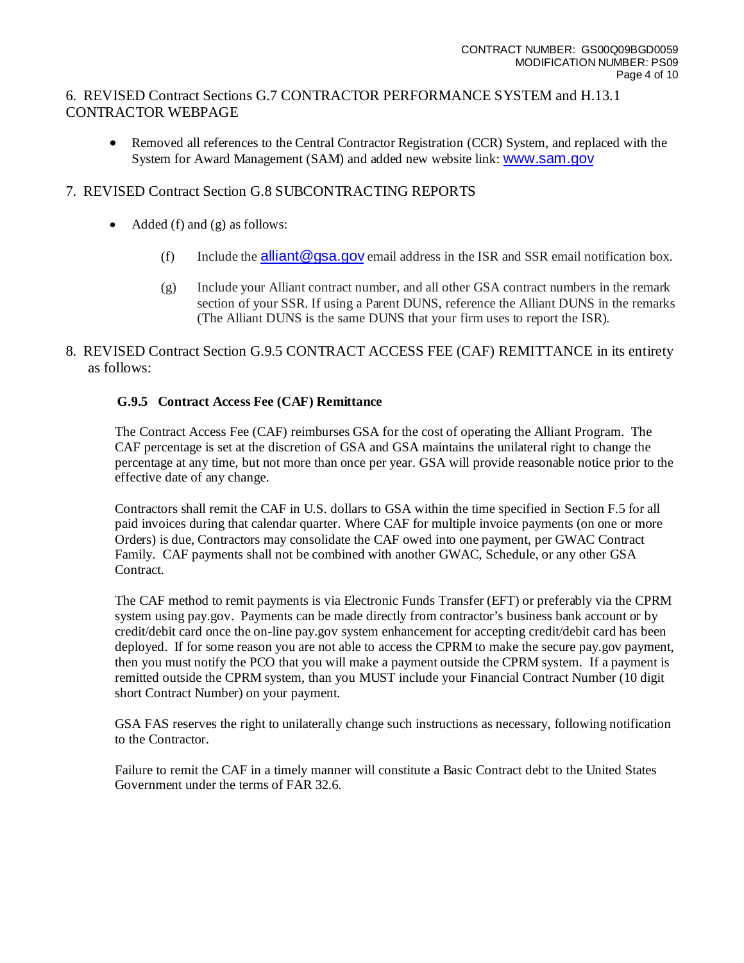# 6. REVISED Contract Sections G.7 CONTRACTOR PERFORMANCE SYSTEM and H.13.1 CONTRACTOR WEBPAGE

• Removed all references to the Central Contractor Registration (CCR) System, and replaced with the System for Award Management (SAM) and added new website link: [www.sam.gov](http://www.sam.gov/)

# 7. REVISED Contract Section G.8 SUBCONTRACTING REPORTS

- Added (f) and (g) as follows:
	- (f) Include the alliant  $@$  qsa.gov email address in the ISR and SSR email notification box.
	- (g) Include your Alliant contract number, and all other GSA contract numbers in the remark section of your SSR. If using a Parent DUNS, reference the Alliant DUNS in the remarks (The Alliant DUNS is the same DUNS that your firm uses to report the ISR).
- 8. REVISED Contract Section G.9.5 CONTRACT ACCESS FEE (CAF) REMITTANCE in its entirety as follows:

### **G.9.5 Contract Access Fee (CAF) Remittance**

The Contract Access Fee (CAF) reimburses GSA for the cost of operating the Alliant Program. The CAF percentage is set at the discretion of GSA and GSA maintains the unilateral right to change the percentage at any time, but not more than once per year. GSA will provide reasonable notice prior to the effective date of any change.

Contractors shall remit the CAF in U.S. dollars to GSA within the time specified in Section F.5 for all paid invoices during that calendar quarter. Where CAF for multiple invoice payments (on one or more Orders) is due, Contractors may consolidate the CAF owed into one payment, per GWAC Contract Family. CAF payments shall not be combined with another GWAC, Schedule, or any other GSA Contract.

The CAF method to remit payments is via Electronic Funds Transfer (EFT) or preferably via the CPRM system using pay.gov. Payments can be made directly from contractor's business bank account or by credit/debit card once the on-line pay.gov system enhancement for accepting credit/debit card has been deployed. If for some reason you are not able to access the CPRM to make the secure pay.gov payment, then you must notify the PCO that you will make a payment outside the CPRM system. If a payment is remitted outside the CPRM system, than you MUST include your Financial Contract Number (10 digit short Contract Number) on your payment.

GSA FAS reserves the right to unilaterally change such instructions as necessary, following notification to the Contractor.

Failure to remit the CAF in a timely manner will constitute a Basic Contract debt to the United States Government under the terms of FAR 32.6.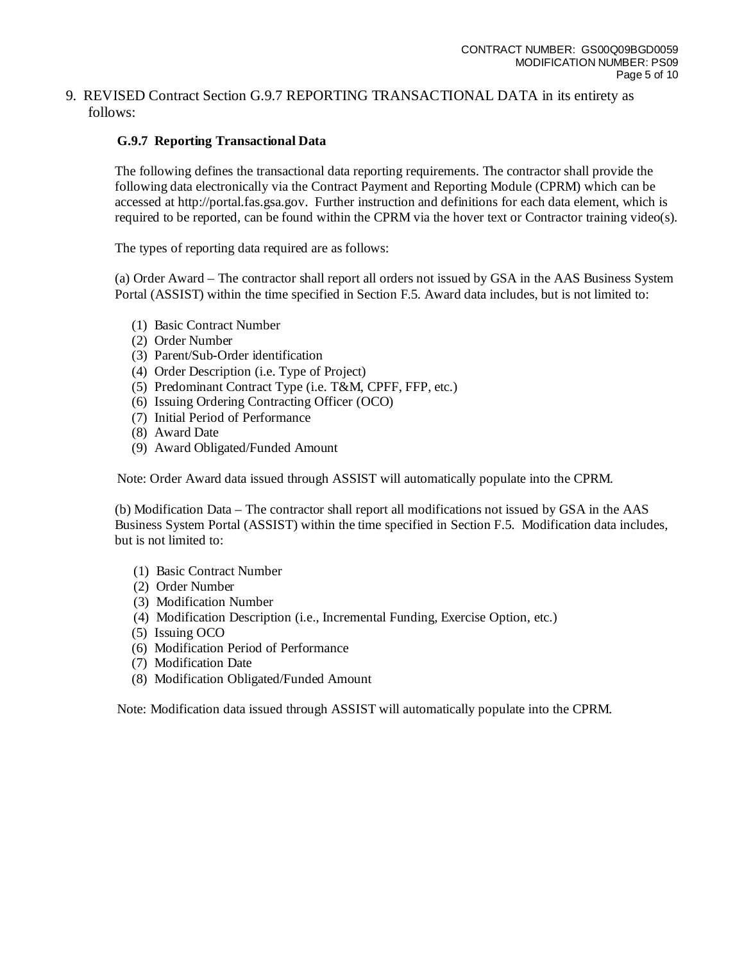#### 9. REVISED Contract Section G.9.7 REPORTING TRANSACTIONAL DATA in its entirety as follows:

### **G.9.7 Reporting Transactional Data**

The following defines the transactional data reporting requirements. The contractor shall provide the following data electronically via the Contract Payment and Reporting Module (CPRM) which can be accessed at http://portal.fas.gsa.gov. Further instruction and definitions for each data element, which is required to be reported, can be found within the CPRM via the hover text or Contractor training video(s).

The types of reporting data required are as follows:

(a) Order Award – The contractor shall report all orders not issued by GSA in the AAS Business System Portal (ASSIST) within the time specified in Section F.5. Award data includes, but is not limited to:

- (1) Basic Contract Number
- (2) Order Number
- (3) Parent/Sub-Order identification
- (4) Order Description (i.e. Type of Project)
- (5) Predominant Contract Type (i.e. T&M, CPFF, FFP, etc.)
- (6) Issuing Ordering Contracting Officer (OCO)
- (7) Initial Period of Performance
- (8) Award Date
- (9) Award Obligated/Funded Amount

Note: Order Award data issued through ASSIST will automatically populate into the CPRM.

(b) Modification Data – The contractor shall report all modifications not issued by GSA in the AAS Business System Portal (ASSIST) within the time specified in Section F.5. Modification data includes, but is not limited to:

- (1) Basic Contract Number
- (2) Order Number
- (3) Modification Number
- (4) Modification Description (i.e., Incremental Funding, Exercise Option, etc.)
- (5) Issuing OCO
- (6) Modification Period of Performance
- (7) Modification Date
- (8) Modification Obligated/Funded Amount

Note: Modification data issued through ASSIST will automatically populate into the CPRM.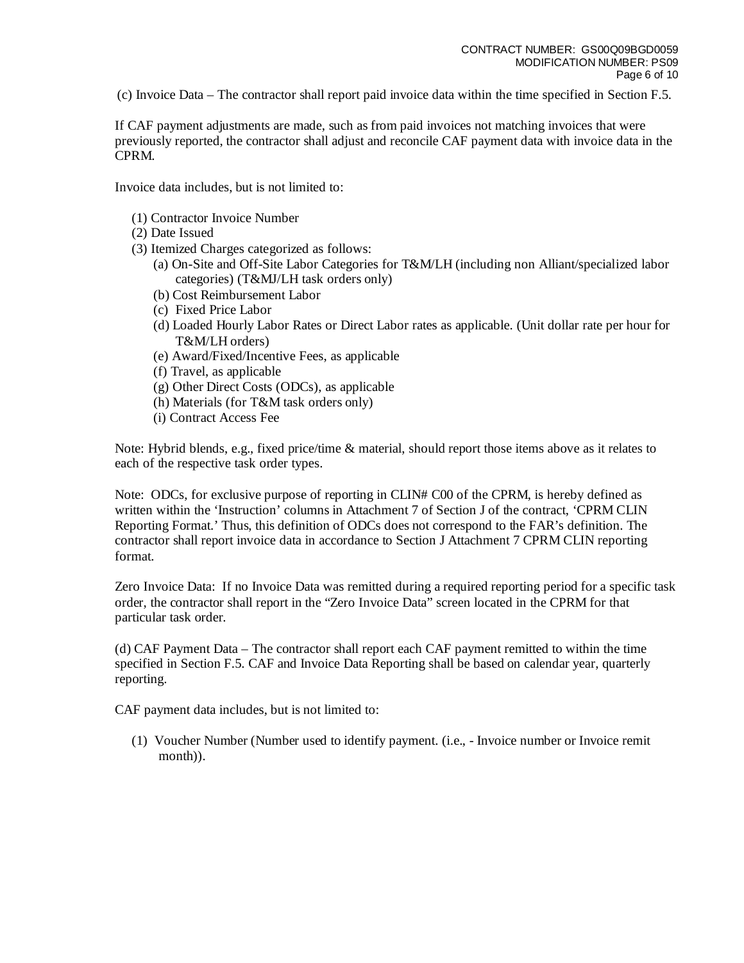(c) Invoice Data – The contractor shall report paid invoice data within the time specified in Section F.5.

If CAF payment adjustments are made, such as from paid invoices not matching invoices that were previously reported, the contractor shall adjust and reconcile CAF payment data with invoice data in the CPRM.

Invoice data includes, but is not limited to:

- (1) Contractor Invoice Number
- (2) Date Issued
- (3) Itemized Charges categorized as follows:
	- (a) On-Site and Off-Site Labor Categories for T&M/LH (including non Alliant/specialized labor categories) (T&MJ/LH task orders only)
	- (b) Cost Reimbursement Labor
	- (c) Fixed Price Labor
	- (d) Loaded Hourly Labor Rates or Direct Labor rates as applicable. (Unit dollar rate per hour for T&M/LH orders)
	- (e) Award/Fixed/Incentive Fees, as applicable
	- (f) Travel, as applicable
	- (g) Other Direct Costs (ODCs), as applicable
	- (h) Materials (for T&M task orders only)
	- (i) Contract Access Fee

Note: Hybrid blends, e.g., fixed price/time & material, should report those items above as it relates to each of the respective task order types.

Note: ODCs, for exclusive purpose of reporting in CLIN# C00 of the CPRM, is hereby defined as written within the 'Instruction' columns in Attachment 7 of Section J of the contract, 'CPRM CLIN Reporting Format.' Thus, this definition of ODCs does not correspond to the FAR's definition. The contractor shall report invoice data in accordance to Section J Attachment 7 CPRM CLIN reporting format.

Zero Invoice Data: If no Invoice Data was remitted during a required reporting period for a specific task order, the contractor shall report in the "Zero Invoice Data" screen located in the CPRM for that particular task order.

(d) CAF Payment Data – The contractor shall report each CAF payment remitted to within the time specified in Section F.5. CAF and Invoice Data Reporting shall be based on calendar year, quarterly reporting.

CAF payment data includes, but is not limited to:

(1) Voucher Number (Number used to identify payment. (i.e., - Invoice number or Invoice remit month)).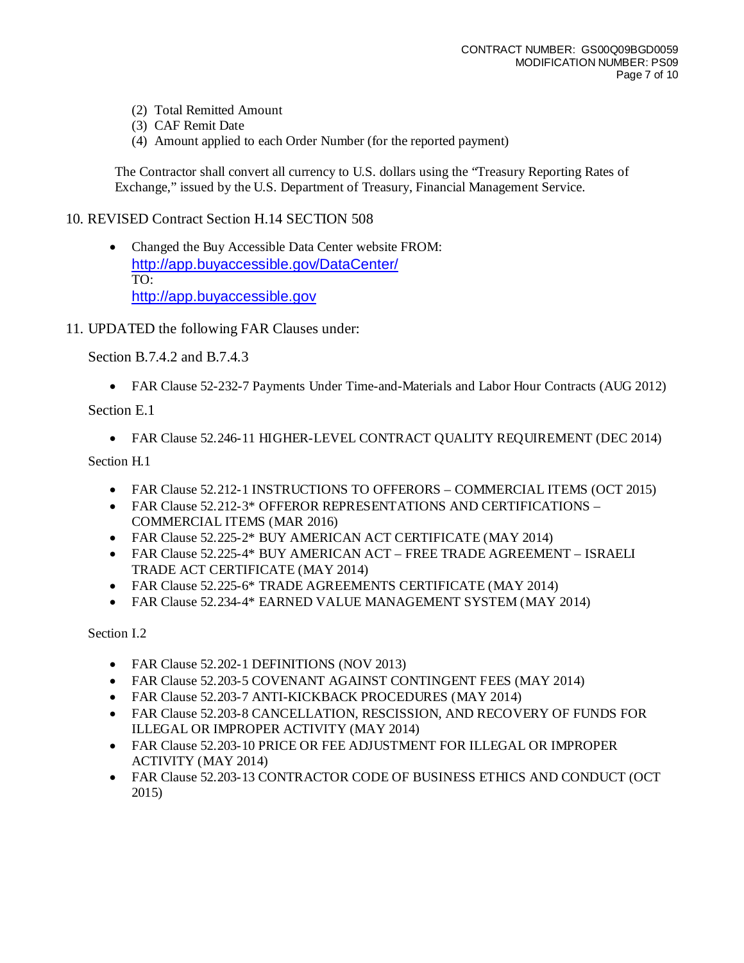- (2) Total Remitted Amount
- (3) CAF Remit Date
- (4) Amount applied to each Order Number (for the reported payment)

The Contractor shall convert all currency to U.S. dollars using the "Treasury Reporting Rates of Exchange," issued by the U.S. Department of Treasury, Financial Management Service.

# 10. REVISED Contract Section H.14 SECTION 508

- Changed the Buy Accessible Data Center website FROM: <http://app.buyaccessible.gov/DataCenter/> TO: [http://app.buyaccessible.gov](http://app.buyaccessible.gov/)
- 11. UPDATED the following FAR Clauses under:

Section B.7.4.2 and B.7.4.3

• FAR Clause 52-232-7 Payments Under Time-and-Materials and Labor Hour Contracts (AUG 2012)

Section E.1

• FAR Clause 52.246-11 HIGHER-LEVEL CONTRACT QUALITY REQUIREMENT (DEC 2014)

Section H.1

- FAR Clause 52.212-1 INSTRUCTIONS TO OFFERORS COMMERCIAL ITEMS (OCT 2015)
- FAR Clause 52.212-3\* OFFEROR REPRESENTATIONS AND CERTIFICATIONS COMMERCIAL ITEMS (MAR 2016)
- FAR Clause 52.225-2\* BUY AMERICAN ACT CERTIFICATE (MAY 2014)
- FAR Clause 52.225-4\* BUY AMERICAN ACT FREE TRADE AGREEMENT ISRAELI TRADE ACT CERTIFICATE (MAY 2014)
- FAR Clause 52.225-6\* TRADE AGREEMENTS CERTIFICATE (MAY 2014)
- FAR Clause 52.234-4\* EARNED VALUE MANAGEMENT SYSTEM (MAY 2014)

Section I.2

- FAR Clause 52.202-1 DEFINITIONS (NOV 2013)
- FAR Clause 52.203-5 COVENANT AGAINST CONTINGENT FEES (MAY 2014)
- FAR Clause 52.203-7 ANTI-KICKBACK PROCEDURES (MAY 2014)
- FAR Clause 52.203-8 CANCELLATION, RESCISSION, AND RECOVERY OF FUNDS FOR ILLEGAL OR IMPROPER ACTIVITY (MAY 2014)
- FAR Clause 52.203-10 PRICE OR FEE ADJUSTMENT FOR ILLEGAL OR IMPROPER ACTIVITY (MAY 2014)
- FAR Clause 52.203-13 CONTRACTOR CODE OF BUSINESS ETHICS AND CONDUCT (OCT 2015)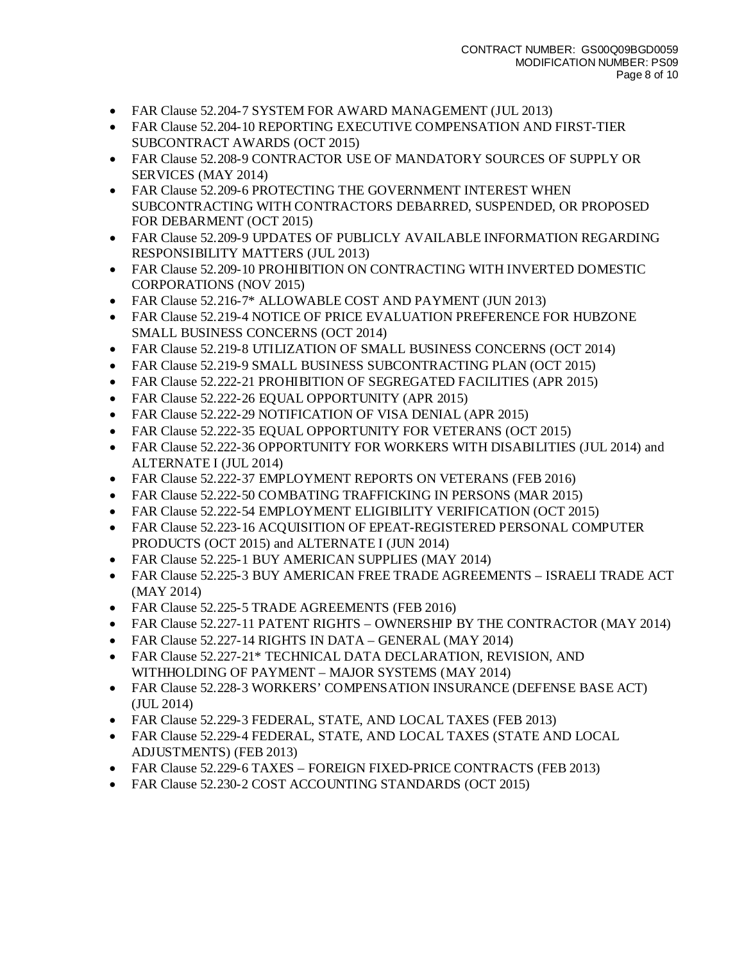- FAR Clause 52.204-7 SYSTEM FOR AWARD MANAGEMENT (JUL 2013)
- FAR Clause 52.204-10 REPORTING EXECUTIVE COMPENSATION AND FIRST-TIER SUBCONTRACT AWARDS (OCT 2015)
- FAR Clause 52.208-9 CONTRACTOR USE OF MANDATORY SOURCES OF SUPPLY OR SERVICES (MAY 2014)
- FAR Clause 52.209-6 PROTECTING THE GOVERNMENT INTEREST WHEN SUBCONTRACTING WITH CONTRACTORS DEBARRED, SUSPENDED, OR PROPOSED FOR DEBARMENT (OCT 2015)
- FAR Clause 52.209-9 UPDATES OF PUBLICLY AVAILABLE INFORMATION REGARDING RESPONSIBILITY MATTERS (JUL 2013)
- FAR Clause 52.209-10 PROHIBITION ON CONTRACTING WITH INVERTED DOMESTIC CORPORATIONS (NOV 2015)
- FAR Clause 52.216-7\* ALLOWABLE COST AND PAYMENT (JUN 2013)
- FAR Clause 52.219-4 NOTICE OF PRICE EVALUATION PREFERENCE FOR HUBZONE SMALL BUSINESS CONCERNS (OCT 2014)
- FAR Clause 52.219-8 UTILIZATION OF SMALL BUSINESS CONCERNS (OCT 2014)
- FAR Clause 52.219-9 SMALL BUSINESS SUBCONTRACTING PLAN (OCT 2015)
- FAR Clause 52.222-21 PROHIBITION OF SEGREGATED FACILITIES (APR 2015)
- FAR Clause 52.222-26 EQUAL OPPORTUNITY (APR 2015)
- FAR Clause 52.222-29 NOTIFICATION OF VISA DENIAL (APR 2015)
- FAR Clause 52.222-35 EQUAL OPPORTUNITY FOR VETERANS (OCT 2015)
- FAR Clause 52.222-36 OPPORTUNITY FOR WORKERS WITH DISABILITIES (JUL 2014) and ALTERNATE I (JUL 2014)
- FAR Clause 52.222-37 EMPLOYMENT REPORTS ON VETERANS (FEB 2016)
- FAR Clause 52.222-50 COMBATING TRAFFICKING IN PERSONS (MAR 2015)
- FAR Clause 52.222-54 EMPLOYMENT ELIGIBILITY VERIFICATION (OCT 2015)
- FAR Clause 52.223-16 ACQUISITION OF EPEAT-REGISTERED PERSONAL COMPUTER PRODUCTS (OCT 2015) and ALTERNATE I (JUN 2014)
- FAR Clause 52.225-1 BUY AMERICAN SUPPLIES (MAY 2014)
- FAR Clause 52.225-3 BUY AMERICAN FREE TRADE AGREEMENTS ISRAELI TRADE ACT (MAY 2014)
- FAR Clause 52.225-5 TRADE AGREEMENTS (FEB 2016)
- FAR Clause 52.227-11 PATENT RIGHTS OWNERSHIP BY THE CONTRACTOR (MAY 2014)
- FAR Clause 52.227-14 RIGHTS IN DATA GENERAL (MAY 2014)
- FAR Clause 52.227-21\* TECHNICAL DATA DECLARATION, REVISION, AND WITHHOLDING OF PAYMENT – MAJOR SYSTEMS (MAY 2014)
- FAR Clause 52.228-3 WORKERS' COMPENSATION INSURANCE (DEFENSE BASE ACT) (JUL 2014)
- FAR Clause 52.229-3 FEDERAL, STATE, AND LOCAL TAXES (FEB 2013)
- FAR Clause 52.229-4 FEDERAL, STATE, AND LOCAL TAXES (STATE AND LOCAL ADJUSTMENTS) (FEB 2013)
- FAR Clause 52.229-6 TAXES FOREIGN FIXED-PRICE CONTRACTS (FEB 2013)
- FAR Clause 52.230-2 COST ACCOUNTING STANDARDS (OCT 2015)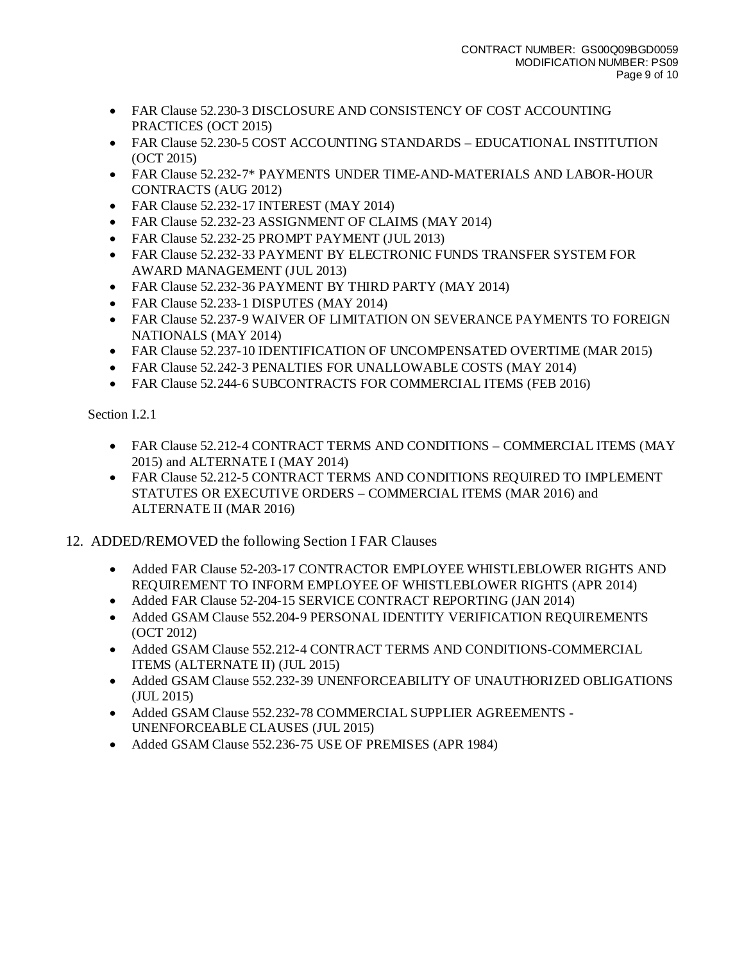- FAR Clause 52.230-3 DISCLOSURE AND CONSISTENCY OF COST ACCOUNTING PRACTICES (OCT 2015)
- FAR Clause 52.230-5 COST ACCOUNTING STANDARDS EDUCATIONAL INSTITUTION (OCT 2015)
- FAR Clause 52.232-7\* PAYMENTS UNDER TIME-AND-MATERIALS AND LABOR-HOUR CONTRACTS (AUG 2012)
- FAR Clause 52.232-17 INTEREST (MAY 2014)
- FAR Clause 52.232-23 ASSIGNMENT OF CLAIMS (MAY 2014)
- FAR Clause 52.232-25 PROMPT PAYMENT (JUL 2013)
- FAR Clause 52.232-33 PAYMENT BY ELECTRONIC FUNDS TRANSFER SYSTEM FOR AWARD MANAGEMENT (JUL 2013)
- FAR Clause 52.232-36 PAYMENT BY THIRD PARTY (MAY 2014)
- FAR Clause 52.233-1 DISPUTES (MAY 2014)
- FAR Clause 52.237-9 WAIVER OF LIMITATION ON SEVERANCE PAYMENTS TO FOREIGN NATIONALS (MAY 2014)
- FAR Clause 52.237-10 IDENTIFICATION OF UNCOMPENSATED OVERTIME (MAR 2015)
- FAR Clause 52.242-3 PENALTIES FOR UNALLOWABLE COSTS (MAY 2014)
- FAR Clause 52.244-6 SUBCONTRACTS FOR COMMERCIAL ITEMS (FEB 2016)

Section I.2.1

- FAR Clause 52.212-4 CONTRACT TERMS AND CONDITIONS COMMERCIAL ITEMS (MAY 2015) and ALTERNATE I (MAY 2014)
- FAR Clause 52.212-5 CONTRACT TERMS AND CONDITIONS REQUIRED TO IMPLEMENT STATUTES OR EXECUTIVE ORDERS – COMMERCIAL ITEMS (MAR 2016) and ALTERNATE II (MAR 2016)
- 12. ADDED/REMOVED the following Section I FAR Clauses
	- Added FAR Clause 52-203-17 CONTRACTOR EMPLOYEE WHISTLEBLOWER RIGHTS AND REQUIREMENT TO INFORM EMPLOYEE OF WHISTLEBLOWER RIGHTS (APR 2014)
	- Added FAR Clause 52-204-15 SERVICE CONTRACT REPORTING (JAN 2014)
	- Added GSAM Clause 552.204-9 PERSONAL IDENTITY VERIFICATION REQUIREMENTS (OCT 2012)
	- Added GSAM Clause 552.212-4 CONTRACT TERMS AND CONDITIONS-COMMERCIAL ITEMS (ALTERNATE II) (JUL 2015)
	- Added GSAM Clause 552.232-39 UNENFORCEABILITY OF UNAUTHORIZED OBLIGATIONS (JUL 2015)
	- Added GSAM Clause 552.232-78 COMMERCIAL SUPPLIER AGREEMENTS UNENFORCEABLE CLAUSES (JUL 2015)
	- Added GSAM Clause 552.236-75 USE OF PREMISES (APR 1984)